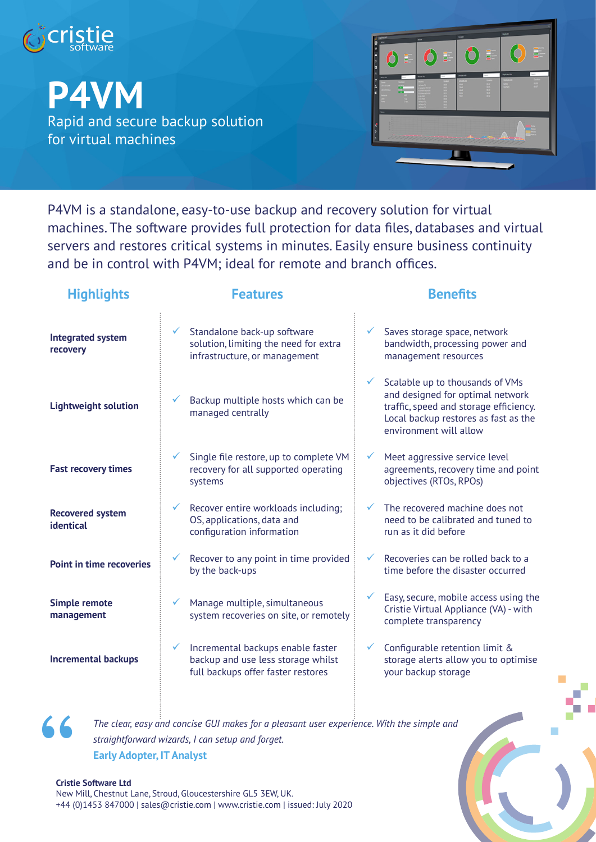

**P4VM**

Rapid and secure backup solution for virtual machines



P4VM is a standalone, easy-to-use backup and recovery solution for virtual machines. The software provides full protection for data files, databases and virtual servers and restores critical systems in minutes. Easily ensure business continuity and be in control with P4VM; ideal for remote and branch offices.

| <b>Highlights</b>                    | <b>Features</b>                                                                                               | <b>Benefits</b>                                                                                                                                                                 |
|--------------------------------------|---------------------------------------------------------------------------------------------------------------|---------------------------------------------------------------------------------------------------------------------------------------------------------------------------------|
| <b>Integrated system</b><br>recovery | Standalone back-up software<br>solution, limiting the need for extra<br>infrastructure, or management         | Saves storage space, network<br>$\checkmark$<br>bandwidth, processing power and<br>management resources                                                                         |
| <b>Lightweight solution</b>          | Backup multiple hosts which can be<br>managed centrally                                                       | Scalable up to thousands of VMs<br>and designed for optimal network<br>traffic, speed and storage efficiency.<br>Local backup restores as fast as the<br>environment will allow |
| <b>Fast recovery times</b>           | Single file restore, up to complete VM<br>recovery for all supported operating<br>systems                     | Meet aggressive service level<br>✓<br>agreements, recovery time and point<br>objectives (RTOs, RPOs)                                                                            |
| <b>Recovered system</b><br>identical | Recover entire workloads including;<br>OS, applications, data and<br>configuration information                | The recovered machine does not<br>need to be calibrated and tuned to<br>run as it did before                                                                                    |
| <b>Point in time recoveries</b>      | Recover to any point in time provided<br>by the back-ups                                                      | Recoveries can be rolled back to a<br>✓<br>time before the disaster occurred                                                                                                    |
| <b>Simple remote</b><br>management   | Manage multiple, simultaneous<br>system recoveries on site, or remotely                                       | Easy, secure, mobile access using the<br>Cristie Virtual Appliance (VA) - with<br>complete transparency                                                                         |
| <b>Incremental backups</b>           | Incremental backups enable faster<br>backup and use less storage whilst<br>full backups offer faster restores | Configurable retention limit &<br>✓<br>storage alerts allow you to optimise<br>your backup storage                                                                              |
|                                      |                                                                                                               |                                                                                                                                                                                 |



*The clear, easy and concise GUI makes for a pleasant user experience. With the simple and straightforward wizards, I can setup and forget.* **Early Adopter, IT Analyst**